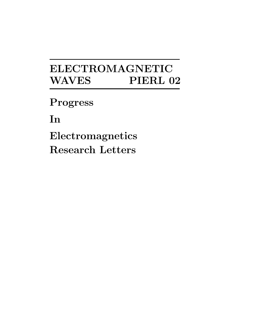# **ELECTROMAGNETIC WAVES PIERL 02**

**Progress**

**In**

**Electromagnetics Research Letters**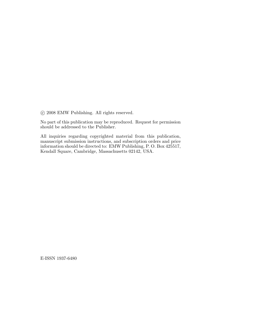c 2008 EMW Publishing. All rights reserved.

No part of this publication may be reproduced. Request for permission should be addressed to the Publisher.

All inquiries regarding copyrighted material from this publication, manuscript submission instructions, and subscription orders and price information should be directed to: EMW Publishing, P. O. Box 425517, Kendall Square, Cambridge, Massachusetts 02142, USA.

E-ISSN 1937-6480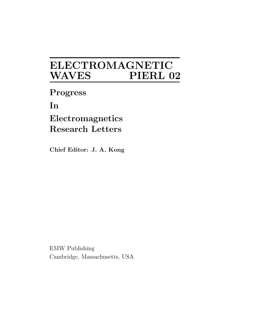## **ELECTROMAGNETIC**  $\bf WAVES$

**Progress**

**In**

**Electromagnetics Research Letters**

**Chief Editor: J. A. Kong** 

EMW Publishing Cambridge, Massachusetts, USA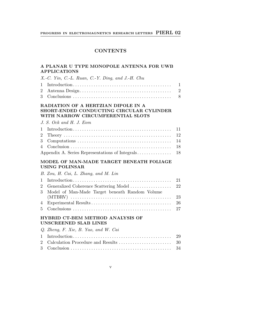### **CONTENTS**

#### **A PLANAR U TYPE MONOPOLE ANTENNA FOR UWB APPLICATIONS**

| $X.-C.$ Yin, C.-L. Ruan, C.-Y. Ding, and J.-H. Chu |  |
|----------------------------------------------------|--|
|                                                    |  |
|                                                    |  |
|                                                    |  |

#### **RADIATION OF A HERTZIAN DIPOLE IN A SHORT-ENDED CONDUCTING CIRCULAR CYLINDER WITH NARROW CIRCUMFERENTIAL SLOTS**

|  |  |  | J. S. Ock and H. J. Eom |
|--|--|--|-------------------------|
|  |  |  |                         |

#### **MODEL OF MAN-MADE TARGET BENEATH FOLIAGE USING POLINSAR**

| B. Zou, H. Cai, L. Zhang, and M. Lin             |  |
|--------------------------------------------------|--|
|                                                  |  |
|                                                  |  |
| 3 Model of Man-Made Target beneath Random Volume |  |
|                                                  |  |
|                                                  |  |
|                                                  |  |

#### **HYBRID CT-BEM METHOD ANALYSIS OF UNSCREENED SLAB LINES**

| Q. Zheng, F. Xie, B. Yao, and W. Cai |  |
|--------------------------------------|--|
|                                      |  |
|                                      |  |
|                                      |  |

#### v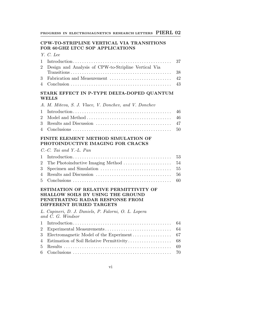#### **CPW-TO-STRIPLINE VERTICAL VIA TRANSITIONS FOR 60 GHZ LTCC SOP APPLICATIONS**

|  | - 2<br>æe<br>, |
|--|----------------|
|  |                |

| 2 Design and Analysis of CPW-to-Stripline Vertical Via |  |
|--------------------------------------------------------|--|
|                                                        |  |
|                                                        |  |
|                                                        |  |

#### **STARK EFFECT IN P-TYPE DELTA-DOPED QUANTUM WELLS**

| A. M. Miteva, S. J. Vlaev, V. Donchev, and V. Donchev |  |
|-------------------------------------------------------|--|
|                                                       |  |
|                                                       |  |
|                                                       |  |

#### **FINITE ELEMENT METHOD SIMULATION OF PHOTOINDUCTIVE IMAGING FOR CRACKS**

|  | $C.-C.$ Tai and Y.-L. Pan |  |
|--|---------------------------|--|
|  |                           |  |
|  |                           |  |
|  |                           |  |
|  |                           |  |

| 5 Conclusions |  |
|---------------|--|
|---------------|--|

#### **ESTIMATION OF RELATIVE PERMITTIVITY OF SHALLOW SOILS BY USING THE GROUND PENETRATING RADAR RESPONSE FROM DIFFERENT BURIED TARGETS**

L. Capineri, D. J. Daniels, P. Falorni, O. L. Lopera and C. G. Windsor

vi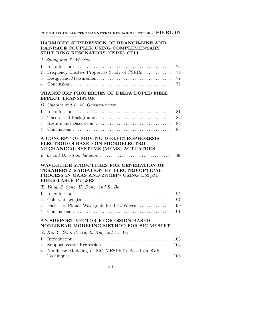#### **HARMONIC SUPPRESSION OF BRANCH-LINE AND RAT-RACE COUPLER USING COMPLEMENTARY SPILT RING RESONATORS (CSRR) CELL**

|                                                                                                     | J. Zhang and X.-W. Sun   |         |
|-----------------------------------------------------------------------------------------------------|--------------------------|---------|
|                                                                                                     |                          |         |
| 2                                                                                                   |                          |         |
|                                                                                                     |                          |         |
|                                                                                                     |                          |         |
| TRANSPORT PROPERTIES OF DELTA DOPED FIELD<br>EFFECT TRANSISTOR<br>O. Oubram and L. M. Gaggero-Sager |                          |         |
|                                                                                                     |                          |         |
|                                                                                                     | 2 Theoretical Decleround | $\circ$ |

#### **A CONCEPT OF MOVING DIELECTROPHORESIS ELECTRODES BASED ON MICROELECTRO-MECHANICAL SYSTEMS (MEMS) ACTUATORS**

|--|--|--|

#### **WAVEGUIDE STRUCTURES FOR GENERATION OF TERAHERTZ RADIATION BY ELECTRO-OPTICAL PROCESS IN GAAS AND ZNGEP**<sub>2</sub> **USING 1.55**  $\mu$ M **FIBER LASER PULSES**

|                                    | T. Yang, S. Song, H. Dong, and R. Ba |  |  |
|------------------------------------|--------------------------------------|--|--|
|                                    |                                      |  |  |
|                                    |                                      |  |  |
|                                    |                                      |  |  |
|                                    |                                      |  |  |
| AN SUPPORT VECTOR REGRESSION BASED |                                      |  |  |

#### **NONLINEAR MODELING METHOD FOR SIC MESFET**

| Y. Xu, Y. Guo, R. Xu, L. Xia, and Y. Wu          |  |
|--------------------------------------------------|--|
|                                                  |  |
|                                                  |  |
| 3 Nonlinear Modeling of SiC MESFETs Based on SVR |  |
|                                                  |  |

vii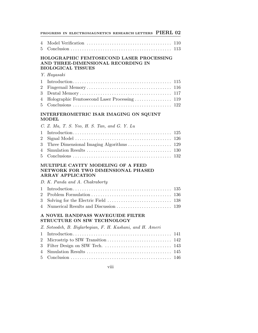|                                    | PROGRESS IN ELECTROMAGNETICS RESEARCH LETTERS PIERL 02                                                      |                                 |
|------------------------------------|-------------------------------------------------------------------------------------------------------------|---------------------------------|
| $\overline{4}$<br>5                |                                                                                                             | 110                             |
|                                    | HOLOGRAPHIC FEMTOSECOND LASER PROCESSING<br>AND THREE-DIMENSIONAL RECORDING IN<br><b>BIOLOGICAL TISSUES</b> |                                 |
|                                    | Y. Hayasaki                                                                                                 |                                 |
| 1<br>2<br>3<br>4<br>5              |                                                                                                             | 115<br>116<br>117<br>122        |
|                                    | INTERFEROMETRIC ISAR IMAGING ON SQUINT<br><b>MODEL</b>                                                      |                                 |
|                                    | C. Z. Ma, T. S. Yeo, H. S. Tan, and G. Y. Lu                                                                |                                 |
| 1<br>$\overline{2}$<br>3<br>4<br>5 | Three Dimensional Imaging Algorithms                                                                        | 125<br>126<br>129<br>130<br>132 |
|                                    | MULTIPLE CAVITY MODELING OF A FEED<br>NETWORK FOR TWO DIMENSIONAL PHASED<br><b>ARRAY APPLICATION</b>        |                                 |
|                                    | D. K. Panda and A. Chakraborty                                                                              |                                 |
| 1<br>2<br>3<br>$\overline{4}$      | Numerical Results and Discussion                                                                            | 135<br>136<br>138<br>139        |
|                                    | A NOVEL BANDPASS WAVEGUIDE FILTER<br>STRUCTURE ON SIW TECHNOLOGY                                            |                                 |
|                                    | Z. Sotoodeh, B. Biglarbegian, F. H. Kashani, and H. Ameri                                                   |                                 |
| 1<br>2                             |                                                                                                             |                                 |

viii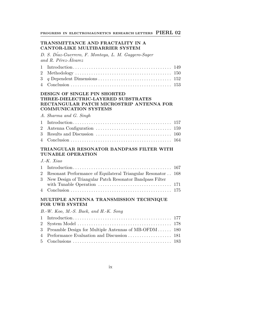#### **TRANSMITTANCE AND FRACTALITY IN A CANTOR-LIKE MULTIBARRIER SYSTEM**

D. S. D´iaz-Guerrero, F. Montoya, L. M. Gaggero-Sager and R. Pérez-Álvarez

#### **DESIGN OF SINGLE PIN SHORTED THREE-DIELECTRIC-LAYERED SUBSTRATES RECTANGULAR PATCH MICROSTRIP ANTENNA FOR COMMUNICATION SYSTEMS**

| A. Sharma and G. Singh |  |  |
|------------------------|--|--|
|                        |  |  |

#### **TRIANGULAR RESONATOR BANDPASS FILTER WITH TUNABLE OPERATION**

#### J.-K. Xiao

| 2 Resonant Performance of Equilateral Triangular Resonator . 168 |  |
|------------------------------------------------------------------|--|
| 3 New Design of Triangular Patch Resonator Bandpass Filter       |  |
|                                                                  |  |
|                                                                  |  |

#### **MULTIPLE ANTENNA TRANSMISSION TECHNIQUE FOR UWB SYSTEM**

B.-W. Koo, M.-S. Baek, and H.-K. Song

| 3 Preamble Design for Multiple Antennas of MB-OFDM 180 |  |
|--------------------------------------------------------|--|
|                                                        |  |
|                                                        |  |

ix